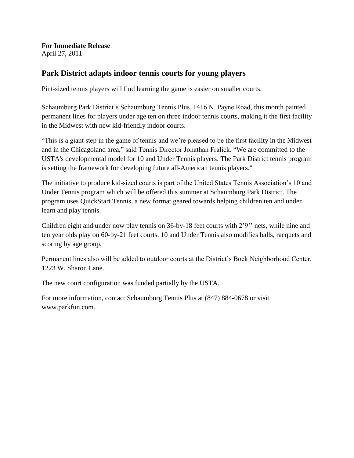**For Immediate Release** April 27, 2011

### **Park District adapts indoor tennis courts for young players**

Pint-sized tennis players will find learning the game is easier on smaller courts.

Schaumburg Park District's Schaumburg Tennis Plus, 1416 N. Payne Road, this month painted permanent lines for players under age ten on three indoor tennis courts, making it the first facility in the Midwest with new kid-friendly indoor courts.

"This is a giant step in the game of tennis and we're pleased to be the first facility in the Midwest and in the Chicagoland area," said Tennis Director Jonathan Fralick. "We are committed to the USTA's developmental model for 10 and Under Tennis players. The Park District tennis program is setting the framework for developing future all-American tennis players."

The initiative to produce kid-sized courts is part of the United States Tennis Association's 10 and Under Tennis program which will be offered this summer at Schaumburg Park District. The program uses QuickStart Tennis, a new format geared towards helping children ten and under learn and play tennis.

Children eight and under now play tennis on 36-by-18 feet courts with 2'9'' nets, while nine and ten year olds play on 60-by-21 feet courts. 10 and Under Tennis also modifies balls, racquets and scoring by age group.

Permanent lines also will be added to outdoor courts at the District's Bock Neighborhood Center, 1223 W. Sharon Lane.

The new court configuration was funded partially by the USTA.

For more information, contact Schaumburg Tennis Plus at (847) 884-0678 or visit www.parkfun.com.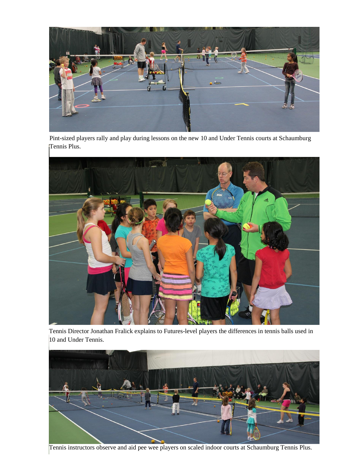

Pint-sized players rally and play during lessons on the new 10 and Under Tennis courts at Schaumburg Tennis Plus.



Tennis Director Jonathan Fralick explains to Futures-level players the differences in tennis balls used in 10 and Under Tennis.



Tennis instructors observe and aid pee wee players on scaled indoor courts at Schaumburg Tennis Plus.